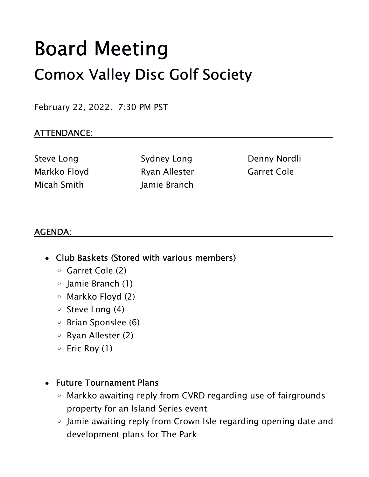# Board Meeting Comox Valley Disc Golf Society

February 22, 2022. 7:30 PM PST

#### ATTENDANCE:

Steve Long Sydney Long Denny Nordli Markko Floyd **Ryan Allester** Garret Cole Micah Smith Jamie Branch

#### AGENDA:

- Club Baskets (Stored with various members)
	- Garret Cole (2)
	- Jamie Branch (1)
	- Markko Floyd (2)
	- Steve Long (4)
	- Brian Sponslee (6)
	- Ryan Allester (2)
	- Eric Roy (1)

#### Future Tournament Plans

- Markko awaiting reply from CVRD regarding use of fairgrounds property for an Island Series event
- Jamie awaiting reply from Crown Isle regarding opening date and development plans for The Park